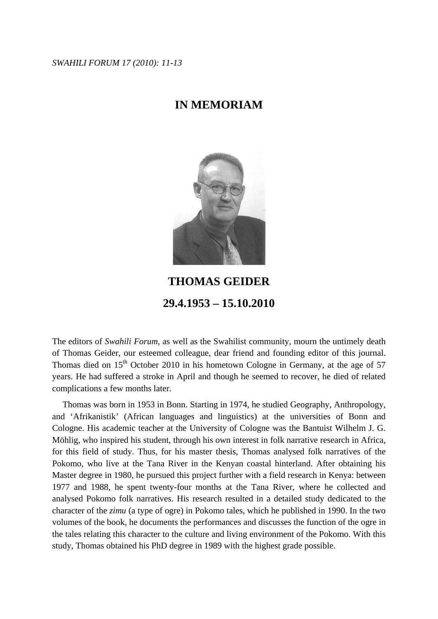*SWAHILI FORUM 17 (2010): 11-13* 

## **IN MEMORIAM**



## **THOMAS GEIDER 29.4.1953 – 15.10.2010**

The editors of *Swahili Forum*, as well as the Swahilist community, mourn the untimely death of Thomas Geider, our esteemed colleague, dear friend and founding editor of this journal. Thomas died on  $15<sup>th</sup>$  October 2010 in his hometown Cologne in Germany, at the age of 57 years. He had suffered a stroke in April and though he seemed to recover, he died of related complications a few months later.

 Thomas was born in 1953 in Bonn. Starting in 1974, he studied Geography, Anthropology, and 'Afrikanistik' (African languages and linguistics) at the universities of Bonn and Cologne. His academic teacher at the University of Cologne was the Bantuist Wilhelm J. G. Möhlig, who inspired his student, through his own interest in folk narrative research in Africa, for this field of study. Thus, for his master thesis, Thomas analysed folk narratives of the Pokomo, who live at the Tana River in the Kenyan coastal hinterland. After obtaining his Master degree in 1980, he pursued this project further with a field research in Kenya: between 1977 and 1988, he spent twenty-four months at the Tana River, where he collected and analysed Pokomo folk narratives. His research resulted in a detailed study dedicated to the character of the *zimu* (a type of ogre) in Pokomo tales, which he published in 1990. In the two volumes of the book, he documents the performances and discusses the function of the ogre in the tales relating this character to the culture and living environment of the Pokomo. With this study, Thomas obtained his PhD degree in 1989 with the highest grade possible.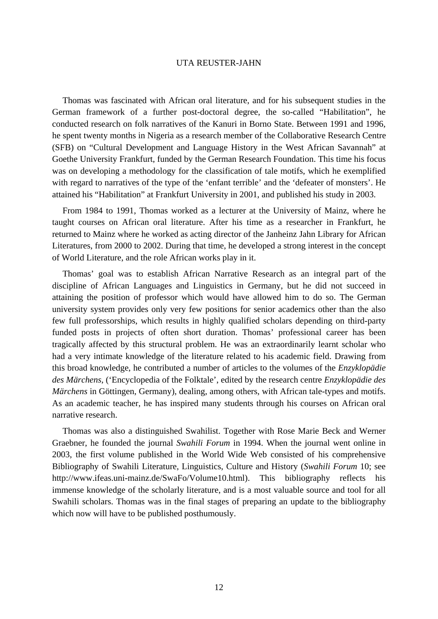## UTA REUSTER-JAHN

 Thomas was fascinated with African oral literature, and for his subsequent studies in the German framework of a further post-doctoral degree, the so-called "Habilitation", he conducted research on folk narratives of the Kanuri in Borno State. Between 1991 and 1996, he spent twenty months in Nigeria as a research member of the Collaborative Research Centre (SFB) on "Cultural Development and Language History in the West African Savannah" at Goethe University Frankfurt, funded by the German Research Foundation. This time his focus was on developing a methodology for the classification of tale motifs, which he exemplified with regard to narratives of the type of the 'enfant terrible' and the 'defeater of monsters'. He attained his "Habilitation" at Frankfurt University in 2001, and published his study in 2003.

 From 1984 to 1991, Thomas worked as a lecturer at the University of Mainz, where he taught courses on African oral literature. After his time as a researcher in Frankfurt, he returned to Mainz where he worked as acting director of the Janheinz Jahn Library for African Literatures, from 2000 to 2002. During that time, he developed a strong interest in the concept of World Literature, and the role African works play in it.

 Thomas' goal was to establish African Narrative Research as an integral part of the discipline of African Languages and Linguistics in Germany, but he did not succeed in attaining the position of professor which would have allowed him to do so. The German university system provides only very few positions for senior academics other than the also few full professorships, which results in highly qualified scholars depending on third-party funded posts in projects of often short duration. Thomas' professional career has been tragically affected by this structural problem. He was an extraordinarily learnt scholar who had a very intimate knowledge of the literature related to his academic field. Drawing from this broad knowledge, he contributed a number of articles to the volumes of the *Enzyklopädie des Märchens*, ('Encyclopedia of the Folktale', edited by the research centre *Enzyklopädie des Märchens* in Göttingen, Germany), dealing, among others, with African tale-types and motifs. As an academic teacher, he has inspired many students through his courses on African oral narrative research.

 Thomas was also a distinguished Swahilist. Together with Rose Marie Beck and Werner Graebner, he founded the journal *Swahili Forum* in 1994. When the journal went online in 2003, the first volume published in the World Wide Web consisted of his comprehensive Bibliography of Swahili Literature, Linguistics, Culture and History (*Swahili Forum* 10; see http://www.ifeas.uni-mainz.de/SwaFo/Volume10.html). This bibliography reflects his immense knowledge of the scholarly literature, and is a most valuable source and tool for all Swahili scholars. Thomas was in the final stages of preparing an update to the bibliography which now will have to be published posthumously.